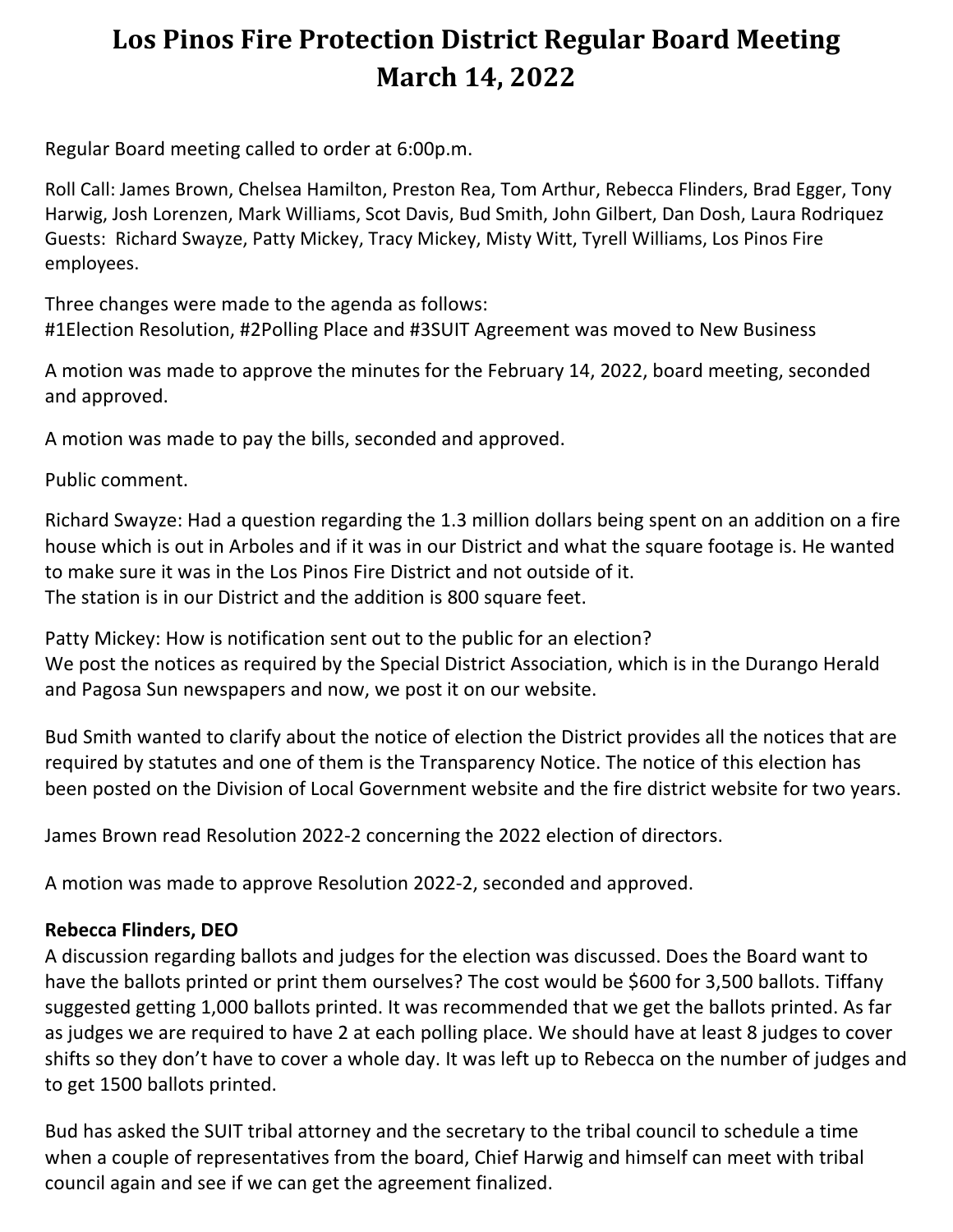# **Los Pinos Fire Protection District Regular Board Meeting March 14, 2022**

Regular Board meeting called to order at 6:00p.m.

Roll Call: James Brown, Chelsea Hamilton, Preston Rea, Tom Arthur, Rebecca Flinders, Brad Egger, Tony Harwig, Josh Lorenzen, Mark Williams, Scot Davis, Bud Smith, John Gilbert, Dan Dosh, Laura Rodriquez Guests: Richard Swayze, Patty Mickey, Tracy Mickey, Misty Witt, Tyrell Williams, Los Pinos Fire employees.

Three changes were made to the agenda as follows: #1Election Resolution, #2Polling Place and #3SUIT Agreement was moved to New Business

A motion was made to approve the minutes for the February 14, 2022, board meeting, seconded and approved.

A motion was made to pay the bills, seconded and approved.

Public comment.

Richard Swayze: Had a question regarding the 1.3 million dollars being spent on an addition on a fire house which is out in Arboles and if it was in our District and what the square footage is. He wanted to make sure it was in the Los Pinos Fire District and not outside of it. The station is in our District and the addition is 800 square feet.

Patty Mickey: How is notification sent out to the public for an election? We post the notices as required by the Special District Association, which is in the Durango Herald and Pagosa Sun newspapers and now, we post it on our website.

Bud Smith wanted to clarify about the notice of election the District provides all the notices that are required by statutes and one of them is the Transparency Notice. The notice of this election has been posted on the Division of Local Government website and the fire district website for two years.

James Brown read Resolution 2022-2 concerning the 2022 election of directors.

A motion was made to approve Resolution 2022-2, seconded and approved.

#### **Rebecca Flinders, DEO**

A discussion regarding ballots and judges for the election was discussed. Does the Board want to have the ballots printed or print them ourselves? The cost would be \$600 for 3,500 ballots. Tiffany suggested getting 1,000 ballots printed. It was recommended that we get the ballots printed. As far as judges we are required to have 2 at each polling place. We should have at least 8 judges to cover shifts so they don't have to cover a whole day. It was left up to Rebecca on the number of judges and to get 1500 ballots printed.

Bud has asked the SUIT tribal attorney and the secretary to the tribal council to schedule a time when a couple of representatives from the board, Chief Harwig and himself can meet with tribal council again and see if we can get the agreement finalized.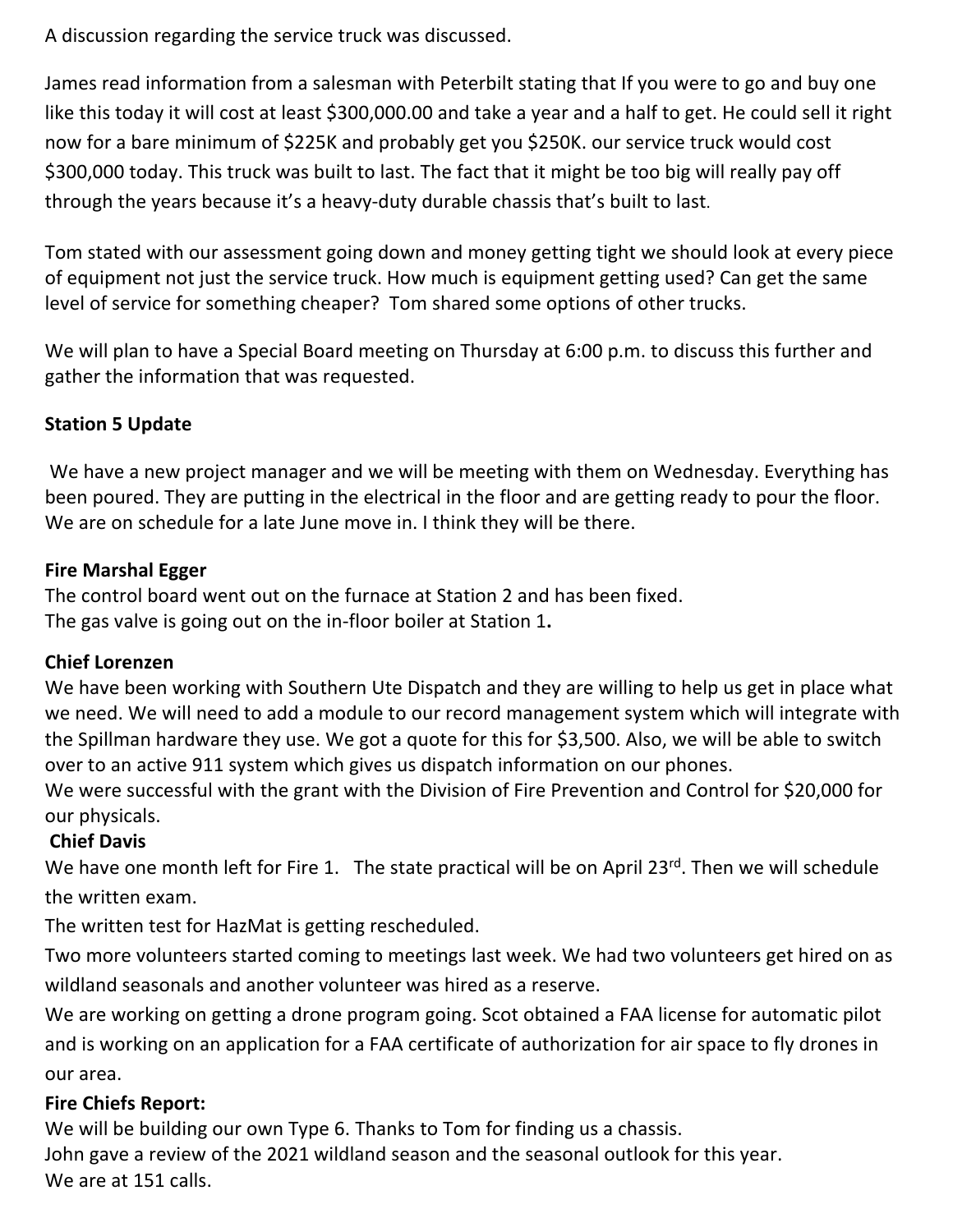A discussion regarding the service truck was discussed.

James read information from a salesman with Peterbilt stating that If you were to go and buy one like this today it will cost at least \$300,000.00 and take a year and a half to get. He could sell it right now for a bare minimum of \$225K and probably get you \$250K. our service truck would cost \$300,000 today. This truck was built to last. The fact that it might be too big will really pay off through the years because it's a heavy-duty durable chassis that's built to last.

Tom stated with our assessment going down and money getting tight we should look at every piece of equipment not just the service truck. How much is equipment getting used? Can get the same level of service for something cheaper? Tom shared some options of other trucks.

We will plan to have a Special Board meeting on Thursday at 6:00 p.m. to discuss this further and gather the information that was requested.

# **Station 5 Update**

We have a new project manager and we will be meeting with them on Wednesday. Everything has been poured. They are putting in the electrical in the floor and are getting ready to pour the floor. We are on schedule for a late June move in. I think they will be there.

## **Fire Marshal Egger**

The control board went out on the furnace at Station 2 and has been fixed. The gas valve is going out on the in-floor boiler at Station 1**.** 

#### **Chief Lorenzen**

We have been working with Southern Ute Dispatch and they are willing to help us get in place what we need. We will need to add a module to our record management system which will integrate with the Spillman hardware they use. We got a quote for this for \$3,500. Also, we will be able to switch over to an active 911 system which gives us dispatch information on our phones.

We were successful with the grant with the Division of Fire Prevention and Control for \$20,000 for our physicals.

# **Chief Davis**

We have one month left for Fire 1. The state practical will be on April 23rd. Then we will schedule the written exam.

The written test for HazMat is getting rescheduled.

Two more volunteers started coming to meetings last week. We had two volunteers get hired on as wildland seasonals and another volunteer was hired as a reserve.

We are working on getting a drone program going. Scot obtained a FAA license for automatic pilot and is working on an application for a FAA certificate of authorization for air space to fly drones in our area.

#### **Fire Chiefs Report:**

We will be building our own Type 6. Thanks to Tom for finding us a chassis. John gave a review of the 2021 wildland season and the seasonal outlook for this year. We are at 151 calls.